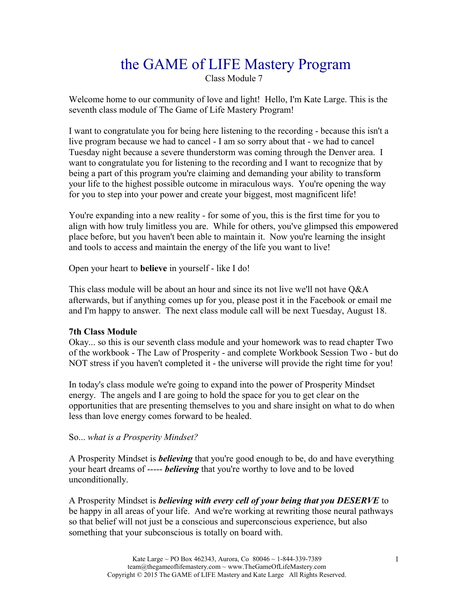# the GAME of LIFE Mastery Program

Class Module 7

Welcome home to our community of love and light! Hello, I'm Kate Large. This is the seventh class module of The Game of Life Mastery Program!

I want to congratulate you for being here listening to the recording - because this isn't a live program because we had to cancel - I am so sorry about that - we had to cancel Tuesday night because a severe thunderstorm was coming through the Denver area. I want to congratulate you for listening to the recording and I want to recognize that by being a part of this program you're claiming and demanding your ability to transform your life to the highest possible outcome in miraculous ways. You're opening the way for you to step into your power and create your biggest, most magnificent life!

You're expanding into a new reality - for some of you, this is the first time for you to align with how truly limitless you are. While for others, you've glimpsed this empowered place before, but you haven't been able to maintain it. Now you're learning the insight and tools to access and maintain the energy of the life you want to live!

Open your heart to **believe** in yourself - like I do!

This class module will be about an hour and since its not live we'll not have Q&A afterwards, but if anything comes up for you, please post it in the Facebook or email me and I'm happy to answer. The next class module call will be next Tuesday, August 18.

## **7th Class Module**

Okay... so this is our seventh class module and your homework was to read chapter Two of the workbook - The Law of Prosperity - and complete Workbook Session Two - but do NOT stress if you haven't completed it - the universe will provide the right time for you!

In today's class module we're going to expand into the power of Prosperity Mindset energy. The angels and I are going to hold the space for you to get clear on the opportunities that are presenting themselves to you and share insight on what to do when less than love energy comes forward to be healed.

## So... *what is a Prosperity Mindset?*

A Prosperity Mindset is *believing* that you're good enough to be, do and have everything your heart dreams of ----- *believing* that you're worthy to love and to be loved unconditionally.

A Prosperity Mindset is *believing with every cell of your being that you DESERVE* to be happy in all areas of your life. And we're working at rewriting those neural pathways so that belief will not just be a conscious and superconscious experience, but also something that your subconscious is totally on board with.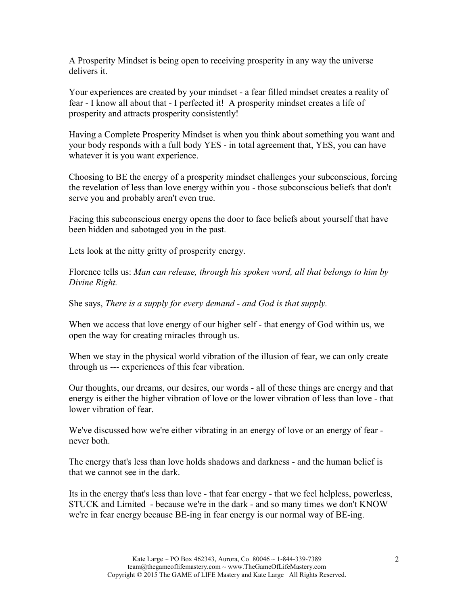A Prosperity Mindset is being open to receiving prosperity in any way the universe delivers it.

Your experiences are created by your mindset - a fear filled mindset creates a reality of fear - I know all about that - I perfected it! A prosperity mindset creates a life of prosperity and attracts prosperity consistently!

Having a Complete Prosperity Mindset is when you think about something you want and your body responds with a full body YES - in total agreement that, YES, you can have whatever it is you want experience.

Choosing to BE the energy of a prosperity mindset challenges your subconscious, forcing the revelation of less than love energy within you - those subconscious beliefs that don't serve you and probably aren't even true.

Facing this subconscious energy opens the door to face beliefs about yourself that have been hidden and sabotaged you in the past.

Lets look at the nitty gritty of prosperity energy.

Florence tells us: *Man can release, through his spoken word, all that belongs to him by Divine Right.*

She says, *There is a supply for every demand - and God is that supply.*

When we access that love energy of our higher self - that energy of God within us, we open the way for creating miracles through us.

When we stay in the physical world vibration of the illusion of fear, we can only create through us --- experiences of this fear vibration.

Our thoughts, our dreams, our desires, our words - all of these things are energy and that energy is either the higher vibration of love or the lower vibration of less than love - that lower vibration of fear.

We've discussed how we're either vibrating in an energy of love or an energy of fear never both.

The energy that's less than love holds shadows and darkness - and the human belief is that we cannot see in the dark.

Its in the energy that's less than love - that fear energy - that we feel helpless, powerless, STUCK and Limited - because we're in the dark - and so many times we don't KNOW we're in fear energy because BE-ing in fear energy is our normal way of BE-ing.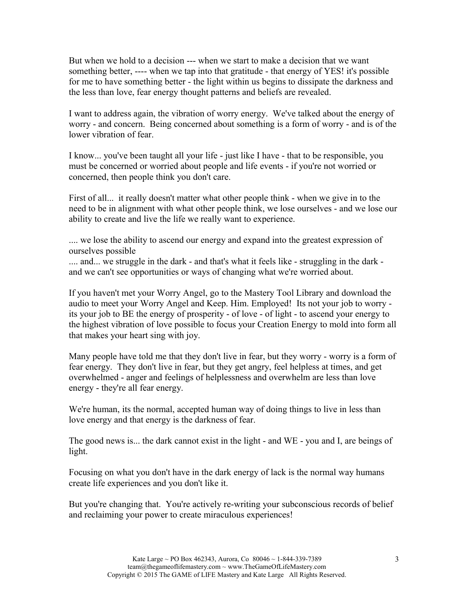But when we hold to a decision --- when we start to make a decision that we want something better, ---- when we tap into that gratitude - that energy of YES! it's possible for me to have something better - the light within us begins to dissipate the darkness and the less than love, fear energy thought patterns and beliefs are revealed.

I want to address again, the vibration of worry energy. We've talked about the energy of worry - and concern. Being concerned about something is a form of worry - and is of the lower vibration of fear.

I know... you've been taught all your life - just like I have - that to be responsible, you must be concerned or worried about people and life events - if you're not worried or concerned, then people think you don't care.

First of all... it really doesn't matter what other people think - when we give in to the need to be in alignment with what other people think, we lose ourselves - and we lose our ability to create and live the life we really want to experience.

.... we lose the ability to ascend our energy and expand into the greatest expression of ourselves possible

.... and... we struggle in the dark - and that's what it feels like - struggling in the dark and we can't see opportunities or ways of changing what we're worried about.

If you haven't met your Worry Angel, go to the Mastery Tool Library and download the audio to meet your Worry Angel and Keep. Him. Employed! Its not your job to worry its your job to BE the energy of prosperity - of love - of light - to ascend your energy to the highest vibration of love possible to focus your Creation Energy to mold into form all that makes your heart sing with joy.

Many people have told me that they don't live in fear, but they worry - worry is a form of fear energy. They don't live in fear, but they get angry, feel helpless at times, and get overwhelmed - anger and feelings of helplessness and overwhelm are less than love energy - they're all fear energy.

We're human, its the normal, accepted human way of doing things to live in less than love energy and that energy is the darkness of fear.

The good news is... the dark cannot exist in the light - and WE - you and I, are beings of light.

Focusing on what you don't have in the dark energy of lack is the normal way humans create life experiences and you don't like it.

But you're changing that. You're actively re-writing your subconscious records of belief and reclaiming your power to create miraculous experiences!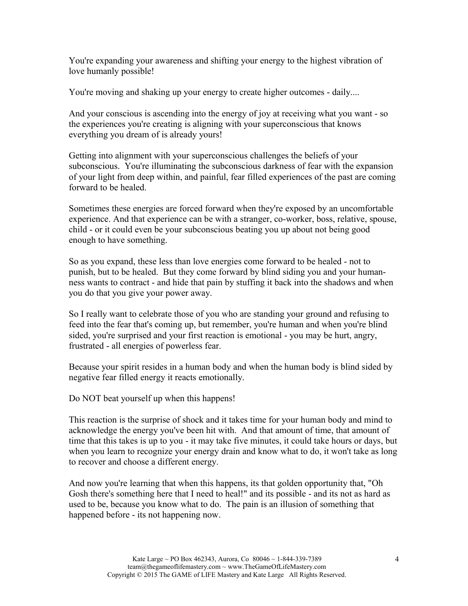You're expanding your awareness and shifting your energy to the highest vibration of love humanly possible!

You're moving and shaking up your energy to create higher outcomes - daily....

And your conscious is ascending into the energy of joy at receiving what you want - so the experiences you're creating is aligning with your superconscious that knows everything you dream of is already yours!

Getting into alignment with your superconscious challenges the beliefs of your subconscious. You're illuminating the subconscious darkness of fear with the expansion of your light from deep within, and painful, fear filled experiences of the past are coming forward to be healed.

Sometimes these energies are forced forward when they're exposed by an uncomfortable experience. And that experience can be with a stranger, co-worker, boss, relative, spouse, child - or it could even be your subconscious beating you up about not being good enough to have something.

So as you expand, these less than love energies come forward to be healed - not to punish, but to be healed. But they come forward by blind siding you and your humanness wants to contract - and hide that pain by stuffing it back into the shadows and when you do that you give your power away.

So I really want to celebrate those of you who are standing your ground and refusing to feed into the fear that's coming up, but remember, you're human and when you're blind sided, you're surprised and your first reaction is emotional - you may be hurt, angry, frustrated - all energies of powerless fear.

Because your spirit resides in a human body and when the human body is blind sided by negative fear filled energy it reacts emotionally.

Do NOT beat yourself up when this happens!

This reaction is the surprise of shock and it takes time for your human body and mind to acknowledge the energy you've been hit with. And that amount of time, that amount of time that this takes is up to you - it may take five minutes, it could take hours or days, but when you learn to recognize your energy drain and know what to do, it won't take as long to recover and choose a different energy.

And now you're learning that when this happens, its that golden opportunity that, "Oh Gosh there's something here that I need to heal!" and its possible - and its not as hard as used to be, because you know what to do. The pain is an illusion of something that happened before - its not happening now.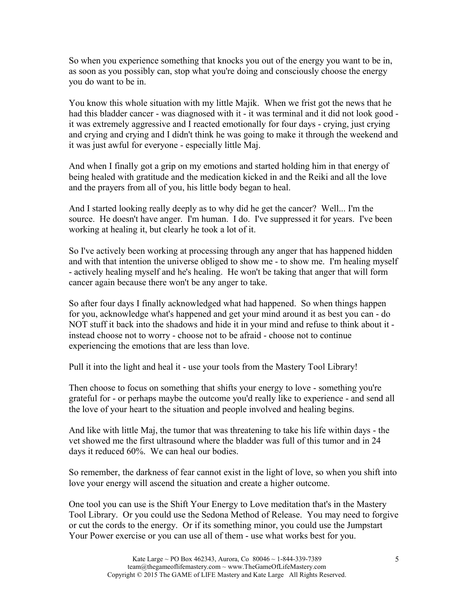So when you experience something that knocks you out of the energy you want to be in, as soon as you possibly can, stop what you're doing and consciously choose the energy you do want to be in.

You know this whole situation with my little Majik. When we frist got the news that he had this bladder cancer - was diagnosed with it - it was terminal and it did not look good it was extremely aggressive and I reacted emotionally for four days - crying, just crying and crying and crying and I didn't think he was going to make it through the weekend and it was just awful for everyone - especially little Maj.

And when I finally got a grip on my emotions and started holding him in that energy of being healed with gratitude and the medication kicked in and the Reiki and all the love and the prayers from all of you, his little body began to heal.

And I started looking really deeply as to why did he get the cancer? Well... I'm the source. He doesn't have anger. I'm human. I do. I've suppressed it for years. I've been working at healing it, but clearly he took a lot of it.

So I've actively been working at processing through any anger that has happened hidden and with that intention the universe obliged to show me - to show me. I'm healing myself - actively healing myself and he's healing. He won't be taking that anger that will form cancer again because there won't be any anger to take.

So after four days I finally acknowledged what had happened. So when things happen for you, acknowledge what's happened and get your mind around it as best you can - do NOT stuff it back into the shadows and hide it in your mind and refuse to think about it instead choose not to worry - choose not to be afraid - choose not to continue experiencing the emotions that are less than love.

Pull it into the light and heal it - use your tools from the Mastery Tool Library!

Then choose to focus on something that shifts your energy to love - something you're grateful for - or perhaps maybe the outcome you'd really like to experience - and send all the love of your heart to the situation and people involved and healing begins.

And like with little Maj, the tumor that was threatening to take his life within days - the vet showed me the first ultrasound where the bladder was full of this tumor and in 24 days it reduced 60%. We can heal our bodies.

So remember, the darkness of fear cannot exist in the light of love, so when you shift into love your energy will ascend the situation and create a higher outcome.

One tool you can use is the Shift Your Energy to Love meditation that's in the Mastery Tool Library. Or you could use the Sedona Method of Release. You may need to forgive or cut the cords to the energy. Or if its something minor, you could use the Jumpstart Your Power exercise or you can use all of them - use what works best for you.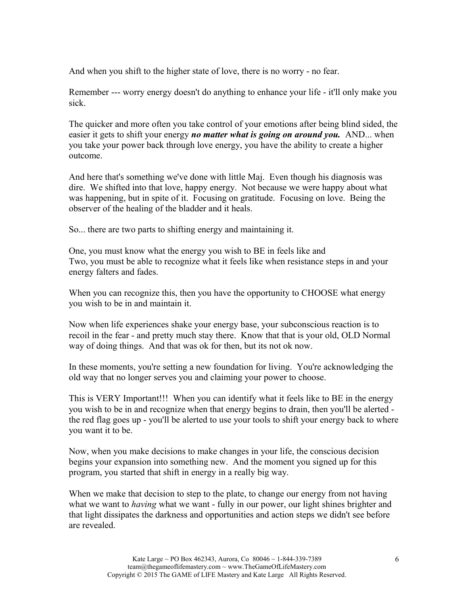And when you shift to the higher state of love, there is no worry - no fear.

Remember --- worry energy doesn't do anything to enhance your life - it'll only make you sick.

The quicker and more often you take control of your emotions after being blind sided, the easier it gets to shift your energy *no matter what is going on around you.* AND... when you take your power back through love energy, you have the ability to create a higher outcome.

And here that's something we've done with little Maj. Even though his diagnosis was dire. We shifted into that love, happy energy. Not because we were happy about what was happening, but in spite of it. Focusing on gratitude. Focusing on love. Being the observer of the healing of the bladder and it heals.

So... there are two parts to shifting energy and maintaining it.

One, you must know what the energy you wish to BE in feels like and Two, you must be able to recognize what it feels like when resistance steps in and your energy falters and fades.

When you can recognize this, then you have the opportunity to CHOOSE what energy you wish to be in and maintain it.

Now when life experiences shake your energy base, your subconscious reaction is to recoil in the fear - and pretty much stay there. Know that that is your old, OLD Normal way of doing things. And that was ok for then, but its not ok now.

In these moments, you're setting a new foundation for living. You're acknowledging the old way that no longer serves you and claiming your power to choose.

This is VERY Important!!! When you can identify what it feels like to BE in the energy you wish to be in and recognize when that energy begins to drain, then you'll be alerted the red flag goes up - you'll be alerted to use your tools to shift your energy back to where you want it to be.

Now, when you make decisions to make changes in your life, the conscious decision begins your expansion into something new. And the moment you signed up for this program, you started that shift in energy in a really big way.

When we make that decision to step to the plate, to change our energy from not having what we want to *having* what we want - fully in our power, our light shines brighter and that light dissipates the darkness and opportunities and action steps we didn't see before are revealed.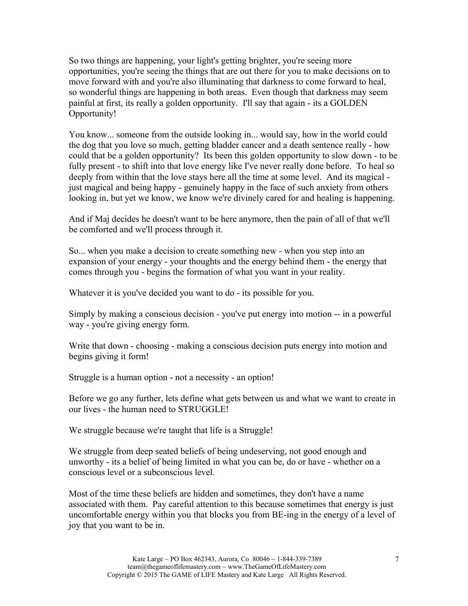So two things are happening, your light's getting brighter, you're seeing more opportunities, you're seeing the things that are out there for you to make decisions on to move forward with and you're also illuminating that darkness to come forward to heal, so wonderful things are happening in both areas. Even though that darkness may seem painful at first, its really a golden opportunity. I'll say that again - its a GOLDEN Opportunity!

You know... someone from the outside looking in... would say, how in the world could the dog that you love so much, getting bladder cancer and a death sentence really - how could that be a golden opportunity? Its been this golden opportunity to slow down - to be fully present - to shift into that love energy like I've never really done before. To heal so deeply from within that the love stays here all the time at some level. And its magical just magical and being happy - genuinely happy in the face of such anxiety from others looking in, but yet we know, we know we're divinely cared for and healing is happening.

And if Maj decides he doesn't want to be here anymore, then the pain of all of that we'll be comforted and we'll process through it.

So... when you make a decision to create something new - when you step into an expansion of your energy - your thoughts and the energy behind them - the energy that comes through you - begins the formation of what you want in your reality.

Whatever it is you've decided you want to do - its possible for you.

Simply by making a conscious decision - you've put energy into motion -- in a powerful way - you're giving energy form.

Write that down - choosing - making a conscious decision puts energy into motion and begins giving it form!

Struggle is a human option - not a necessity - an option!

Before we go any further, lets define what gets between us and what we want to create in our lives - the human need to STRUGGLE!

We struggle because we're taught that life is a Struggle!

We struggle from deep seated beliefs of being undeserving, not good enough and unworthy - its a belief of being limited in what you can be, do or have - whether on a conscious level or a subconscious level.

Most of the time these beliefs are hidden and sometimes, they don't have a name associated with them. Pay careful attention to this because sometimes that energy is just uncomfortable energy within you that blocks you from BE-ing in the energy of a level of joy that you want to be in.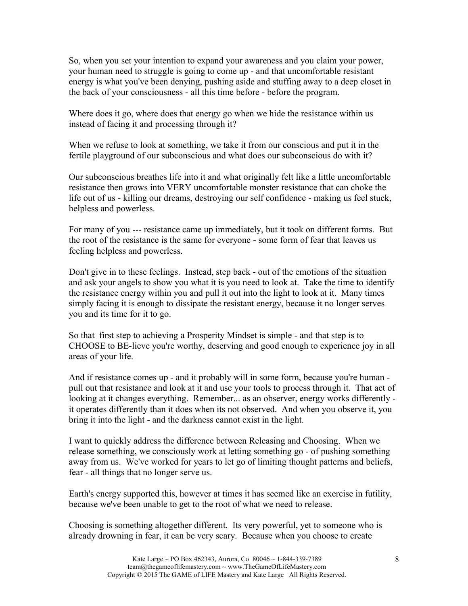So, when you set your intention to expand your awareness and you claim your power, your human need to struggle is going to come up - and that uncomfortable resistant energy is what you've been denying, pushing aside and stuffing away to a deep closet in the back of your consciousness - all this time before - before the program.

Where does it go, where does that energy go when we hide the resistance within us instead of facing it and processing through it?

When we refuse to look at something, we take it from our conscious and put it in the fertile playground of our subconscious and what does our subconscious do with it?

Our subconscious breathes life into it and what originally felt like a little uncomfortable resistance then grows into VERY uncomfortable monster resistance that can choke the life out of us - killing our dreams, destroying our self confidence - making us feel stuck, helpless and powerless.

For many of you --- resistance came up immediately, but it took on different forms. But the root of the resistance is the same for everyone - some form of fear that leaves us feeling helpless and powerless.

Don't give in to these feelings. Instead, step back - out of the emotions of the situation and ask your angels to show you what it is you need to look at. Take the time to identify the resistance energy within you and pull it out into the light to look at it. Many times simply facing it is enough to dissipate the resistant energy, because it no longer serves you and its time for it to go.

So that first step to achieving a Prosperity Mindset is simple - and that step is to CHOOSE to BE-lieve you're worthy, deserving and good enough to experience joy in all areas of your life.

And if resistance comes up - and it probably will in some form, because you're human pull out that resistance and look at it and use your tools to process through it. That act of looking at it changes everything. Remember... as an observer, energy works differently it operates differently than it does when its not observed. And when you observe it, you bring it into the light - and the darkness cannot exist in the light.

I want to quickly address the difference between Releasing and Choosing. When we release something, we consciously work at letting something go - of pushing something away from us. We've worked for years to let go of limiting thought patterns and beliefs, fear - all things that no longer serve us.

Earth's energy supported this, however at times it has seemed like an exercise in futility, because we've been unable to get to the root of what we need to release.

Choosing is something altogether different. Its very powerful, yet to someone who is already drowning in fear, it can be very scary. Because when you choose to create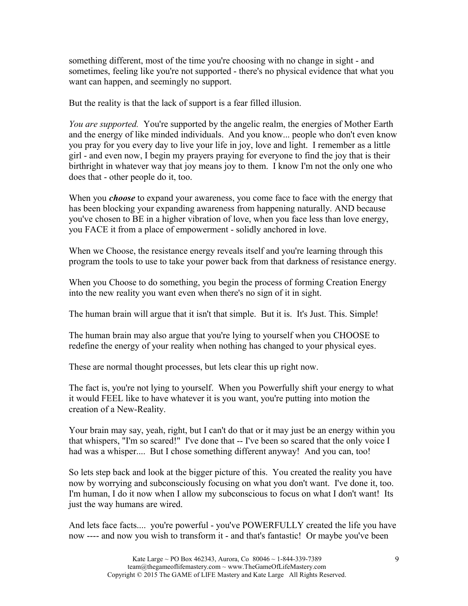something different, most of the time you're choosing with no change in sight - and sometimes, feeling like you're not supported - there's no physical evidence that what you want can happen, and seemingly no support.

But the reality is that the lack of support is a fear filled illusion.

*You are supported.* You're supported by the angelic realm, the energies of Mother Earth and the energy of like minded individuals. And you know... people who don't even know you pray for you every day to live your life in joy, love and light. I remember as a little girl - and even now, I begin my prayers praying for everyone to find the joy that is their birthright in whatever way that joy means joy to them. I know I'm not the only one who does that - other people do it, too.

When you *choose* to expand your awareness, you come face to face with the energy that has been blocking your expanding awareness from happening naturally. AND because you've chosen to BE in a higher vibration of love, when you face less than love energy, you FACE it from a place of empowerment - solidly anchored in love.

When we Choose, the resistance energy reveals itself and you're learning through this program the tools to use to take your power back from that darkness of resistance energy.

When you Choose to do something, you begin the process of forming Creation Energy into the new reality you want even when there's no sign of it in sight.

The human brain will argue that it isn't that simple. But it is. It's Just. This. Simple!

The human brain may also argue that you're lying to yourself when you CHOOSE to redefine the energy of your reality when nothing has changed to your physical eyes.

These are normal thought processes, but lets clear this up right now.

The fact is, you're not lying to yourself. When you Powerfully shift your energy to what it would FEEL like to have whatever it is you want, you're putting into motion the creation of a New-Reality.

Your brain may say, yeah, right, but I can't do that or it may just be an energy within you that whispers, "I'm so scared!" I've done that -- I've been so scared that the only voice I had was a whisper.... But I chose something different anyway! And you can, too!

So lets step back and look at the bigger picture of this. You created the reality you have now by worrying and subconsciously focusing on what you don't want. I've done it, too. I'm human, I do it now when I allow my subconscious to focus on what I don't want! Its just the way humans are wired.

And lets face facts.... you're powerful - you've POWERFULLY created the life you have now ---- and now you wish to transform it - and that's fantastic! Or maybe you've been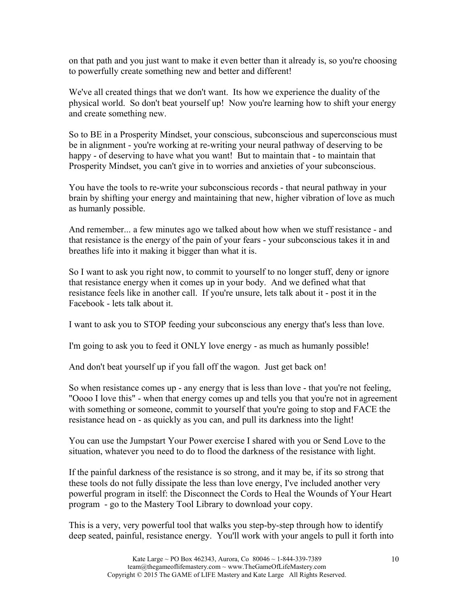on that path and you just want to make it even better than it already is, so you're choosing to powerfully create something new and better and different!

We've all created things that we don't want. Its how we experience the duality of the physical world. So don't beat yourself up! Now you're learning how to shift your energy and create something new.

So to BE in a Prosperity Mindset, your conscious, subconscious and superconscious must be in alignment - you're working at re-writing your neural pathway of deserving to be happy - of deserving to have what you want! But to maintain that - to maintain that Prosperity Mindset, you can't give in to worries and anxieties of your subconscious.

You have the tools to re-write your subconscious records - that neural pathway in your brain by shifting your energy and maintaining that new, higher vibration of love as much as humanly possible.

And remember... a few minutes ago we talked about how when we stuff resistance - and that resistance is the energy of the pain of your fears - your subconscious takes it in and breathes life into it making it bigger than what it is.

So I want to ask you right now, to commit to yourself to no longer stuff, deny or ignore that resistance energy when it comes up in your body. And we defined what that resistance feels like in another call. If you're unsure, lets talk about it - post it in the Facebook - lets talk about it.

I want to ask you to STOP feeding your subconscious any energy that's less than love.

I'm going to ask you to feed it ONLY love energy - as much as humanly possible!

And don't beat yourself up if you fall off the wagon. Just get back on!

So when resistance comes up - any energy that is less than love - that you're not feeling, "Oooo I love this" - when that energy comes up and tells you that you're not in agreement with something or someone, commit to yourself that you're going to stop and FACE the resistance head on - as quickly as you can, and pull its darkness into the light!

You can use the Jumpstart Your Power exercise I shared with you or Send Love to the situation, whatever you need to do to flood the darkness of the resistance with light.

If the painful darkness of the resistance is so strong, and it may be, if its so strong that these tools do not fully dissipate the less than love energy, I've included another very powerful program in itself: the Disconnect the Cords to Heal the Wounds of Your Heart program - go to the Mastery Tool Library to download your copy.

This is a very, very powerful tool that walks you step-by-step through how to identify deep seated, painful, resistance energy. You'll work with your angels to pull it forth into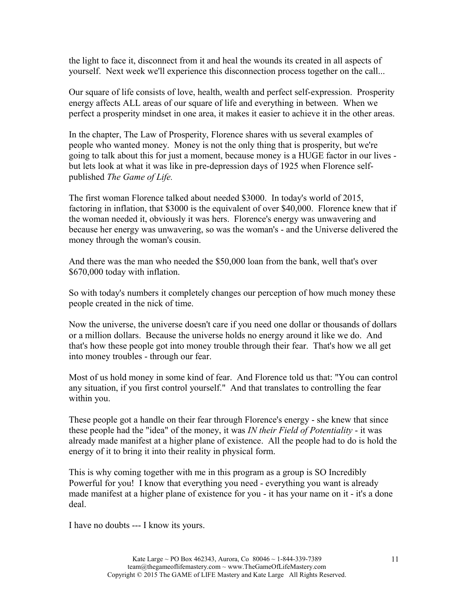the light to face it, disconnect from it and heal the wounds its created in all aspects of yourself. Next week we'll experience this disconnection process together on the call...

Our square of life consists of love, health, wealth and perfect self-expression. Prosperity energy affects ALL areas of our square of life and everything in between. When we perfect a prosperity mindset in one area, it makes it easier to achieve it in the other areas.

In the chapter, The Law of Prosperity, Florence shares with us several examples of people who wanted money. Money is not the only thing that is prosperity, but we're going to talk about this for just a moment, because money is a HUGE factor in our lives but lets look at what it was like in pre-depression days of 1925 when Florence selfpublished *The Game of Life.*

The first woman Florence talked about needed \$3000. In today's world of 2015, factoring in inflation, that \$3000 is the equivalent of over \$40,000. Florence knew that if the woman needed it, obviously it was hers. Florence's energy was unwavering and because her energy was unwavering, so was the woman's - and the Universe delivered the money through the woman's cousin.

And there was the man who needed the \$50,000 loan from the bank, well that's over \$670,000 today with inflation.

So with today's numbers it completely changes our perception of how much money these people created in the nick of time.

Now the universe, the universe doesn't care if you need one dollar or thousands of dollars or a million dollars. Because the universe holds no energy around it like we do. And that's how these people got into money trouble through their fear. That's how we all get into money troubles - through our fear.

Most of us hold money in some kind of fear. And Florence told us that: "You can control any situation, if you first control yourself." And that translates to controlling the fear within you.

These people got a handle on their fear through Florence's energy - she knew that since these people had the "idea" of the money, it was *IN their Field of Potentiality* - it was already made manifest at a higher plane of existence. All the people had to do is hold the energy of it to bring it into their reality in physical form.

This is why coming together with me in this program as a group is SO Incredibly Powerful for you! I know that everything you need - everything you want is already made manifest at a higher plane of existence for you - it has your name on it - it's a done deal.

I have no doubts --- I know its yours.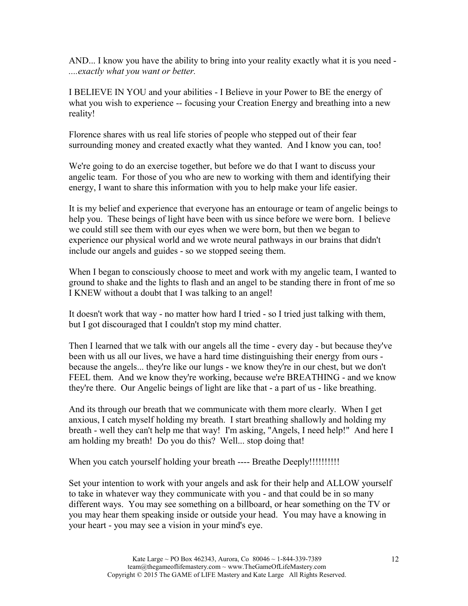AND... I know you have the ability to bring into your reality exactly what it is you need - *....exactly what you want or better.*

I BELIEVE IN YOU and your abilities - I Believe in your Power to BE the energy of what you wish to experience -- focusing your Creation Energy and breathing into a new reality!

Florence shares with us real life stories of people who stepped out of their fear surrounding money and created exactly what they wanted. And I know you can, too!

We're going to do an exercise together, but before we do that I want to discuss your angelic team. For those of you who are new to working with them and identifying their energy, I want to share this information with you to help make your life easier.

It is my belief and experience that everyone has an entourage or team of angelic beings to help you. These beings of light have been with us since before we were born. I believe we could still see them with our eyes when we were born, but then we began to experience our physical world and we wrote neural pathways in our brains that didn't include our angels and guides - so we stopped seeing them.

When I began to consciously choose to meet and work with my angelic team, I wanted to ground to shake and the lights to flash and an angel to be standing there in front of me so I KNEW without a doubt that I was talking to an angel!

It doesn't work that way - no matter how hard I tried - so I tried just talking with them, but I got discouraged that I couldn't stop my mind chatter.

Then I learned that we talk with our angels all the time - every day - but because they've been with us all our lives, we have a hard time distinguishing their energy from ours because the angels... they're like our lungs - we know they're in our chest, but we don't FEEL them. And we know they're working, because we're BREATHING - and we know they're there. Our Angelic beings of light are like that - a part of us - like breathing.

And its through our breath that we communicate with them more clearly. When I get anxious, I catch myself holding my breath. I start breathing shallowly and holding my breath - well they can't help me that way! I'm asking, "Angels, I need help!" And here I am holding my breath! Do you do this? Well... stop doing that!

When you catch yourself holding your breath ---- Breathe Deeply!!!!!!!!!!

Set your intention to work with your angels and ask for their help and ALLOW yourself to take in whatever way they communicate with you - and that could be in so many different ways. You may see something on a billboard, or hear something on the TV or you may hear them speaking inside or outside your head. You may have a knowing in your heart - you may see a vision in your mind's eye.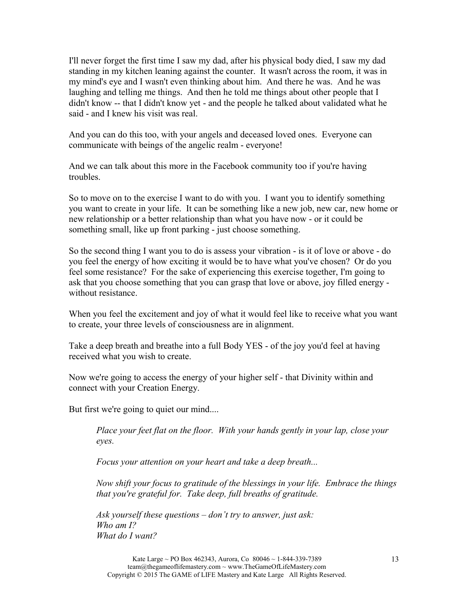I'll never forget the first time I saw my dad, after his physical body died, I saw my dad standing in my kitchen leaning against the counter. It wasn't across the room, it was in my mind's eye and I wasn't even thinking about him. And there he was. And he was laughing and telling me things. And then he told me things about other people that I didn't know -- that I didn't know yet - and the people he talked about validated what he said - and I knew his visit was real.

And you can do this too, with your angels and deceased loved ones. Everyone can communicate with beings of the angelic realm - everyone!

And we can talk about this more in the Facebook community too if you're having troubles.

So to move on to the exercise I want to do with you. I want you to identify something you want to create in your life. It can be something like a new job, new car, new home or new relationship or a better relationship than what you have now - or it could be something small, like up front parking - just choose something.

So the second thing I want you to do is assess your vibration - is it of love or above - do you feel the energy of how exciting it would be to have what you've chosen? Or do you feel some resistance? For the sake of experiencing this exercise together, I'm going to ask that you choose something that you can grasp that love or above, joy filled energy without resistance.

When you feel the excitement and joy of what it would feel like to receive what you want to create, your three levels of consciousness are in alignment.

Take a deep breath and breathe into a full Body YES - of the joy you'd feel at having received what you wish to create.

Now we're going to access the energy of your higher self - that Divinity within and connect with your Creation Energy.

But first we're going to quiet our mind....

*Place your feet flat on the floor. With your hands gently in your lap, close your eyes.*

*Focus your attention on your heart and take a deep breath...*

*Now shift your focus to gratitude of the blessings in your life. Embrace the things that you're grateful for. Take deep, full breaths of gratitude.*

*Ask yourself these questions – don't try to answer, just ask: Who am I? What do I want?*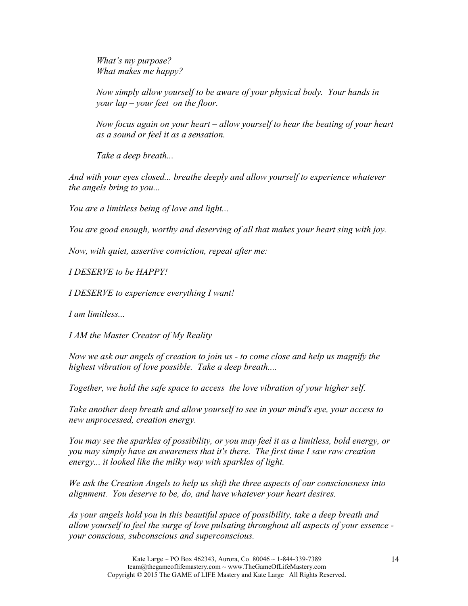*What's my purpose? What makes me happy?*

*Now simply allow yourself to be aware of your physical body. Your hands in your lap – your feet on the floor.*

*Now focus again on your heart – allow yourself to hear the beating of your heart as a sound or feel it as a sensation.*

*Take a deep breath...*

*And with your eyes closed... breathe deeply and allow yourself to experience whatever the angels bring to you...*

*You are a limitless being of love and light...* 

*You are good enough, worthy and deserving of all that makes your heart sing with joy.*

*Now, with quiet, assertive conviction, repeat after me:* 

*I DESERVE to be HAPPY!*

*I DESERVE to experience everything I want!*

*I am limitless...*

*I AM the Master Creator of My Reality*

*Now we ask our angels of creation to join us - to come close and help us magnify the highest vibration of love possible. Take a deep breath....*

*Together, we hold the safe space to access the love vibration of your higher self.*

*Take another deep breath and allow yourself to see in your mind's eye, your access to new unprocessed, creation energy.*

*You may see the sparkles of possibility, or you may feel it as a limitless, bold energy, or you may simply have an awareness that it's there. The first time I saw raw creation energy... it looked like the milky way with sparkles of light.*

*We ask the Creation Angels to help us shift the three aspects of our consciousness into alignment. You deserve to be, do, and have whatever your heart desires.*

*As your angels hold you in this beautiful space of possibility, take a deep breath and allow yourself to feel the surge of love pulsating throughout all aspects of your essence your conscious, subconscious and superconscious.*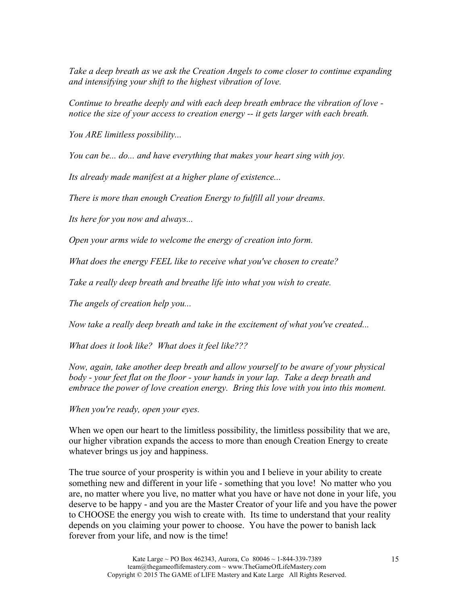*Take a deep breath as we ask the Creation Angels to come closer to continue expanding and intensifying your shift to the highest vibration of love.*

*Continue to breathe deeply and with each deep breath embrace the vibration of love notice the size of your access to creation energy -- it gets larger with each breath.*

*You ARE limitless possibility...*

*You can be... do... and have everything that makes your heart sing with joy.*

*Its already made manifest at a higher plane of existence...*

*There is more than enough Creation Energy to fulfill all your dreams.*

*Its here for you now and always...*

*Open your arms wide to welcome the energy of creation into form.*

*What does the energy FEEL like to receive what you've chosen to create?*

*Take a really deep breath and breathe life into what you wish to create.*

*The angels of creation help you...*

*Now take a really deep breath and take in the excitement of what you've created...*

*What does it look like? What does it feel like???*

*Now, again, take another deep breath and allow yourself to be aware of your physical body - your feet flat on the floor - your hands in your lap. Take a deep breath and embrace the power of love creation energy. Bring this love with you into this moment.* 

*When you're ready, open your eyes.*

When we open our heart to the limitless possibility, the limitless possibility that we are, our higher vibration expands the access to more than enough Creation Energy to create whatever brings us joy and happiness.

The true source of your prosperity is within you and I believe in your ability to create something new and different in your life - something that you love! No matter who you are, no matter where you live, no matter what you have or have not done in your life, you deserve to be happy - and you are the Master Creator of your life and you have the power to CHOOSE the energy you wish to create with. Its time to understand that your reality depends on you claiming your power to choose. You have the power to banish lack forever from your life, and now is the time!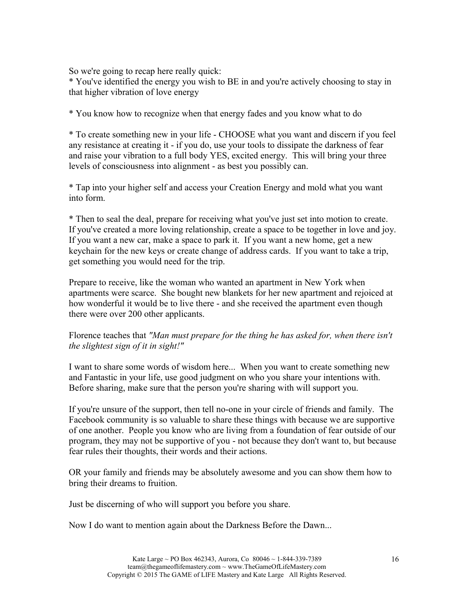So we're going to recap here really quick:

\* You've identified the energy you wish to BE in and you're actively choosing to stay in that higher vibration of love energy

\* You know how to recognize when that energy fades and you know what to do

\* To create something new in your life - CHOOSE what you want and discern if you feel any resistance at creating it - if you do, use your tools to dissipate the darkness of fear and raise your vibration to a full body YES, excited energy. This will bring your three levels of consciousness into alignment - as best you possibly can.

\* Tap into your higher self and access your Creation Energy and mold what you want into form.

\* Then to seal the deal, prepare for receiving what you've just set into motion to create. If you've created a more loving relationship, create a space to be together in love and joy. If you want a new car, make a space to park it. If you want a new home, get a new keychain for the new keys or create change of address cards. If you want to take a trip, get something you would need for the trip.

Prepare to receive, like the woman who wanted an apartment in New York when apartments were scarce. She bought new blankets for her new apartment and rejoiced at how wonderful it would be to live there - and she received the apartment even though there were over 200 other applicants.

## Florence teaches that *"Man must prepare for the thing he has asked for, when there isn't the slightest sign of it in sight!"*

I want to share some words of wisdom here... When you want to create something new and Fantastic in your life, use good judgment on who you share your intentions with. Before sharing, make sure that the person you're sharing with will support you.

If you're unsure of the support, then tell no-one in your circle of friends and family. The Facebook community is so valuable to share these things with because we are supportive of one another. People you know who are living from a foundation of fear outside of our program, they may not be supportive of you - not because they don't want to, but because fear rules their thoughts, their words and their actions.

OR your family and friends may be absolutely awesome and you can show them how to bring their dreams to fruition.

Just be discerning of who will support you before you share.

Now I do want to mention again about the Darkness Before the Dawn...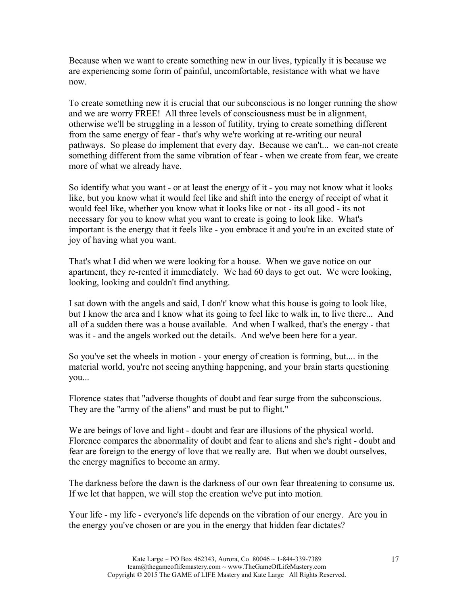Because when we want to create something new in our lives, typically it is because we are experiencing some form of painful, uncomfortable, resistance with what we have now.

To create something new it is crucial that our subconscious is no longer running the show and we are worry FREE! All three levels of consciousness must be in alignment, otherwise we'll be struggling in a lesson of futility, trying to create something different from the same energy of fear - that's why we're working at re-writing our neural pathways. So please do implement that every day. Because we can't... we can-not create something different from the same vibration of fear - when we create from fear, we create more of what we already have.

So identify what you want - or at least the energy of it - you may not know what it looks like, but you know what it would feel like and shift into the energy of receipt of what it would feel like, whether you know what it looks like or not - its all good - its not necessary for you to know what you want to create is going to look like. What's important is the energy that it feels like - you embrace it and you're in an excited state of joy of having what you want.

That's what I did when we were looking for a house. When we gave notice on our apartment, they re-rented it immediately. We had 60 days to get out. We were looking, looking, looking and couldn't find anything.

I sat down with the angels and said, I don't' know what this house is going to look like, but I know the area and I know what its going to feel like to walk in, to live there... And all of a sudden there was a house available. And when I walked, that's the energy - that was it - and the angels worked out the details. And we've been here for a year.

So you've set the wheels in motion - your energy of creation is forming, but.... in the material world, you're not seeing anything happening, and your brain starts questioning you...

Florence states that "adverse thoughts of doubt and fear surge from the subconscious. They are the "army of the aliens" and must be put to flight."

We are beings of love and light - doubt and fear are illusions of the physical world. Florence compares the abnormality of doubt and fear to aliens and she's right - doubt and fear are foreign to the energy of love that we really are. But when we doubt ourselves, the energy magnifies to become an army.

The darkness before the dawn is the darkness of our own fear threatening to consume us. If we let that happen, we will stop the creation we've put into motion.

Your life - my life - everyone's life depends on the vibration of our energy. Are you in the energy you've chosen or are you in the energy that hidden fear dictates?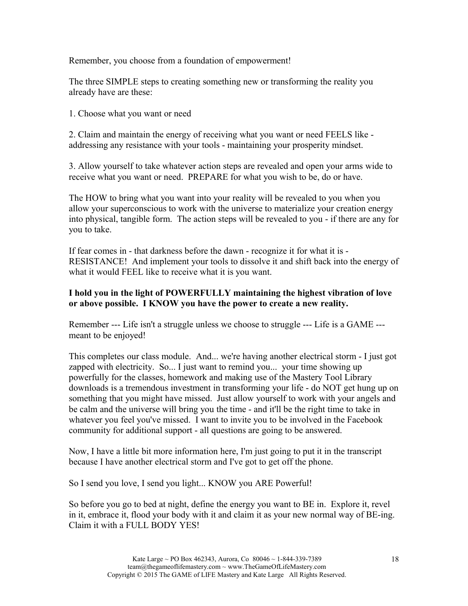Remember, you choose from a foundation of empowerment!

The three SIMPLE steps to creating something new or transforming the reality you already have are these:

1. Choose what you want or need

2. Claim and maintain the energy of receiving what you want or need FEELS like addressing any resistance with your tools - maintaining your prosperity mindset.

3. Allow yourself to take whatever action steps are revealed and open your arms wide to receive what you want or need. PREPARE for what you wish to be, do or have.

The HOW to bring what you want into your reality will be revealed to you when you allow your superconscious to work with the universe to materialize your creation energy into physical, tangible form. The action steps will be revealed to you - if there are any for you to take.

If fear comes in - that darkness before the dawn - recognize it for what it is - RESISTANCE! And implement your tools to dissolve it and shift back into the energy of what it would FEEL like to receive what it is you want.

### **I hold you in the light of POWERFULLY maintaining the highest vibration of love or above possible. I KNOW you have the power to create a new reality.**

Remember --- Life isn't a struggle unless we choose to struggle --- Life is a GAME -- meant to be enjoyed!

This completes our class module. And... we're having another electrical storm - I just got zapped with electricity. So... I just want to remind you... your time showing up powerfully for the classes, homework and making use of the Mastery Tool Library downloads is a tremendous investment in transforming your life - do NOT get hung up on something that you might have missed. Just allow yourself to work with your angels and be calm and the universe will bring you the time - and it'll be the right time to take in whatever you feel you've missed. I want to invite you to be involved in the Facebook community for additional support - all questions are going to be answered.

Now, I have a little bit more information here, I'm just going to put it in the transcript because I have another electrical storm and I've got to get off the phone.

So I send you love, I send you light... KNOW you ARE Powerful!

So before you go to bed at night, define the energy you want to BE in. Explore it, revel in it, embrace it, flood your body with it and claim it as your new normal way of BE-ing. Claim it with a FULL BODY YES!